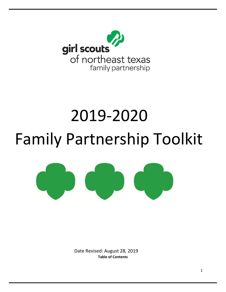

# 2019-2020 Family Partnership Toolkit



Date Revised: August 28, 2019 **Table of Contents**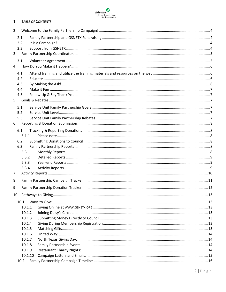

#### $\mathbf{1}$ **TABLE OF CONTENTS**

| $\overline{2}$ |         |  |  |  |
|----------------|---------|--|--|--|
|                | 2.1     |  |  |  |
|                | 2.2     |  |  |  |
|                | 2.3     |  |  |  |
| 3              |         |  |  |  |
|                | 3.1     |  |  |  |
| $\overline{4}$ |         |  |  |  |
|                | 4.1     |  |  |  |
|                | 4.2     |  |  |  |
|                | 4.3     |  |  |  |
|                | 4.4     |  |  |  |
|                | 4.5     |  |  |  |
| 5              |         |  |  |  |
|                | 5.1     |  |  |  |
|                | 5.2     |  |  |  |
|                | 5.3     |  |  |  |
| 6              |         |  |  |  |
|                | 6.1     |  |  |  |
|                | 6.1.1   |  |  |  |
|                | 6.2     |  |  |  |
|                | 6.3     |  |  |  |
|                | 6.3.1   |  |  |  |
|                | 6.3.2   |  |  |  |
|                | 6.3.3   |  |  |  |
|                | 6.3.4   |  |  |  |
| 7              |         |  |  |  |
| 8              |         |  |  |  |
| 9              |         |  |  |  |
|                |         |  |  |  |
|                |         |  |  |  |
|                | 10.1    |  |  |  |
|                | 10.1.1  |  |  |  |
|                | 10.1.2  |  |  |  |
|                | 10.1.3  |  |  |  |
|                | 10.1.4  |  |  |  |
|                | 10.1.5  |  |  |  |
|                | 10.1.6  |  |  |  |
|                | 10.1.7  |  |  |  |
|                | 10.1.8  |  |  |  |
|                | 10.1.9  |  |  |  |
|                | 10.1.10 |  |  |  |
|                | 10.2    |  |  |  |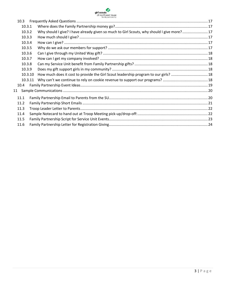

| 10.3   |         |                                                                                           |  |
|--------|---------|-------------------------------------------------------------------------------------------|--|
| 10.3.1 |         |                                                                                           |  |
| 10.3.2 |         | Why should I give? I have already given so much to Girl Scouts, why should I give more?17 |  |
| 10.3.3 |         |                                                                                           |  |
| 10.3.4 |         |                                                                                           |  |
| 10.3.5 |         |                                                                                           |  |
| 10.3.6 |         |                                                                                           |  |
| 10.3.7 |         |                                                                                           |  |
| 10.3.8 |         |                                                                                           |  |
| 10.3.9 |         |                                                                                           |  |
|        | 10.3.10 | How much does it cost to provide the Girl Scout leadership program to our girls? 18       |  |
|        | 10.3.11 |                                                                                           |  |
| 10.4   |         |                                                                                           |  |
| 11     |         |                                                                                           |  |
| 11.1   |         |                                                                                           |  |
| 11.2   |         |                                                                                           |  |
| 11.3   |         |                                                                                           |  |
| 11.4   |         |                                                                                           |  |
| 11.5   |         |                                                                                           |  |
| 11.6   |         |                                                                                           |  |
|        |         |                                                                                           |  |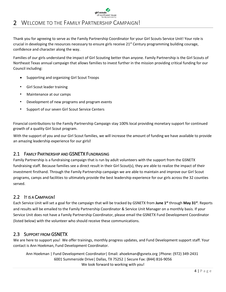<span id="page-3-0"></span>

Thank you for agreeing to serve as the Family Partnership Coordinator for your Girl Scouts Service Unit! Your role is crucial in developing the resources necessary to ensure girls receive  $21<sup>st</sup>$  Century programming building courage, confidence and character along the way.

Families of our girls understand the impact of Girl Scouting better than anyone. Family Partnership is the Girl Scouts of Northeast Texas annual campaign that allows families to invest further in the mission providing critical funding for our Council including:

- Supporting and organizing Girl Scout Troops
- Girl Scout leader training
- Maintenance at our camps
- Development of new programs and program events
- Support of our seven Girl Scout Service Centers

Financial contributions to the Family Partnership Campaign stay 100% local providing monetary support for continued growth of a quality Girl Scout program.

With the support of you and our Girl Scout families, we will increase the amount of funding we have available to provide an amazing leadership experience for our girls**!**

# <span id="page-3-1"></span>2.1 FAMILY PARTNERSHIP AND GSNETX FUNDRAISING

Family Partnership is a fundraising campaign that is run by adult volunteers with the support from the GSNETX fundraising staff. Because families see a direct result in their Girl Scout(s), they are able to realize the impact of their investment firsthand. Through the Family Partnership campaign we are able to maintain and improve our Girl Scout programs, camps and facilities to ultimately provide the best leadership experience for our girls across the 32 counties served.

# <span id="page-3-2"></span>2.2 IT IS A CAMPAIGN!

Each Service Unit will set a goal for the campaign that will be tracked by GSNETX from **June 1st** through **May 31st** . Reports and results will be emailed to the Family Partnership Coordinator & Service Unit Manager on a monthly basis. If your Service Unit does not have a Family Partnership Coordinator, please email the GSNETX Fund Development Coordinator (listed below) with the volunteer who should receive these communications.

# <span id="page-3-3"></span>2.3 SUPPORT FROM GSNETX

We are here to support you! We offer trainings, monthly progress updates, and Fund Development support staff. Your contact is Ann Hoekman, Fund Development Coordinator.

Ann Hoekman | Fund Development Coordinator| Email: ahoekman@gsnetx.org |Phone: (972) 349-2431 6001 Summerside Drive| Dallas, TX 75252 | Secure Fax: (844) 816-9056 We look forward to working with you!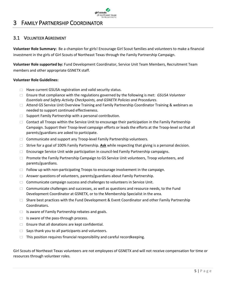# <span id="page-4-0"></span>3 FAMILY PARTNERSHIP COORDINATOR

# <span id="page-4-1"></span>3.1 VOLUNTEER AGREEMENT

**Volunteer Role Summary:** Be a champion for girls! Encourage Girl Scout families and volunteers to make a financial investment in the girls of Girl Scouts of Northeast Texas through the Family Partnership Campaign.

**Volunteer Role supported by:** Fund Development Coordinator, Service Unit Team Members, Recruitment Team members and other appropriate GSNETX staff.

girl scouts of northeast texas

#### **Volunteer Role Guidelines:**

- $\Box$  Have current GSUSA registration and valid security status.
- Ensure that compliance with the regulations governed by the following is met: *GSUSA Volunteer Essentials and Safety Activity Checkpoints, and GSNETX Policies and Procedures*.
- □ Attend GS Service Unit Overview Training and Family Partnership Coordinator Training & webinars as needed to support continued effectiveness.
- $\Box$  Support Family Partnership with a personal contribution.
- $\Box$  Contact all Troops within the Service Unit to encourage their participation in the Family Partnership Campaign. Support their Troop-level campaign efforts or leads the efforts at the Troop-level so that all parents/guardians are asked to participate.
- $\Box$  Communicate and support any Troop-level Family Partnership volunteers.
- $\Box$  Strive for a goal of 100% Family Partnership. Ask while respecting that giving is a personal decision.
- $\Box$  Encourage Service Unit wide participation in council-led Family Partnership campaigns.
- $\Box$  Promote the Family Partnership Campaign to GS Service Unit volunteers, Troop volunteers, and parents/guardians.
- $\Box$  Follow up with non-participating Troops to encourage involvement in the campaign.
- $\Box$  Answer questions of volunteers, parents/guardians about Family Partnership.
- $\Box$  Communicate campaign success and challenges to volunteers in Service Unit.
- $\Box$  Communicate challenges and successes, as well as questions and resource needs, to the Fund Development Coordinator at GSNETX, or to the Membership Specialist in the area.
- $\Box$  Share best practices with the Fund Development & Event Coordinator and other Family Partnership Coordinators.
- $\Box$  Is aware of Family Partnership rebates and goals.
- $\Box$  Is aware of the pass-through process.
- $\Box$  Ensure that all donations are kept confidential.
- $\Box$  Says thank you to all participants and volunteers.
- $\Box$  This position requires financial responsibility and careful recordkeeping.

Girl Scouts of Northeast Texas volunteers are not employees of GSNETX and will not receive compensation for time or resources through volunteer roles.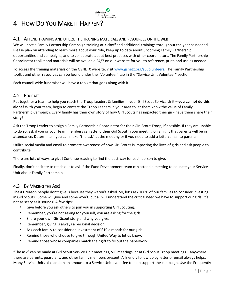# girl scouts of northeast texas

# <span id="page-5-0"></span>4 HOW DO YOU MAKE IT HAPPEN?

# <span id="page-5-1"></span>4.1 ATTEND TRAINING AND UTILIZE THE TRAINING MATERIALS AND RESOURCES ON THE WEB

We will host a Family Partnership Campaign training at Kickoff and additional trainings throughout the year as needed. Please plan on attending to learn more about your role, keep up to date about upcoming Family Partnership opportunities and campaigns, and to collaborate about best practices with other coordinators. The Family Partnership Coordinator toolkit and materials will be available 24/7 on our website for you to reference, print, and use as needed.

To access the training materials on the GSNETX website, visit [www.gsnetx.org/suvolunteers](http://www.gsnetx.org/suvolunteers)[.](http://www.gsnetx.org/) The Family Partnership toolkit and other resources can be found under the "Volunteer" tab in the "Service Unit Volunteer" section.

Each council-wide fundraiser will have a toolkit that goes along with it.

# <span id="page-5-2"></span>4.2 EDUCATE

Put together a team to help you reach the Troop Leaders & families in your Girl Scout Service Unit – **you cannot do this alone**! With your team, begin to contact the Troop Leaders in your area to let them know the value of Family Partnership Campaign. Every family has their own story of how Girl Scouts has impacted their girl- have them share their story!

Ask the Troop Leader to assign a Family Partnership Coordinator for their Girl Scout Troop, if possible. If they are unable to do so, ask if you or your team members can attend their Girl Scout Troop meeting on a night that parents will be in attendance. Determine if you can make "the ask" at the meeting or if you need to add a letter/email to parents.

Utilize social media and email to promote awareness of how Girl Scouts is impacting the lives of girls and ask people to contribute.

There are lots of ways to give! Continue reading to find the best way for each person to give.

Finally, don't hesitate to reach out to ask if the Fund Development team can attend a meeting to educate your Service Unit about Family Partnership.

# <span id="page-5-3"></span>4.3 BY MAKING THE ASK!

The **#1** reason people don't give is because they weren't asked. So, let's ask 100% of our families to consider investing in Girl Scouts. Some will give and some won't, but all will understand the critical need we have to support our girls. It's not as scary as it sounds! A few tips:

- Give before you ask others to join you in supporting Girl Scouting.
- Remember, you're not asking for yourself, you are asking for the girls.
- Share your own Girl Scout story and why you give.
- Remember, giving is always a personal decision.
- Ask each family to consider an investment of \$10 a month for our girls.
- Remind those who choose to give through United Way to let us know.
- Remind those whose companies match their gift to fill out the paperwork.

"The ask" can be made at Girl Scout Service Unit meetings, VIP meetings, or at Girl Scout Troop meetings – anywhere there are parents, guardians, and other family members present. A friendly follow up by letter or email always helps. Many Service Units also add on an amount to a Service Unit event fee to help support the campaign. Use the Frequently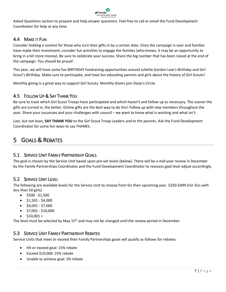

Asked Questions section to prepare and help answer questions. Feel free to call or email the Fund Development Coordinator for help at any time.

# <span id="page-6-0"></span>4.4 MAKE IT FUN

Consider holding a contest for those who turn their gifts in by a certain date. Once the campaign is over and families have made their investment, consider fun activities to engage the families (who knows, it may be an opportunity to bring in a bit more money). Be sure to celebrate your success. Share the big number that has been raised at the end of the campaign. You should be proud!

This year, we will have some fun BIRTHDAY fundraising opportunities around Juliette Gordon Low's Birthday and Girl Scout's Birthday. Make sure to participate, and have fun educating parents and girls about the history of Girl Scouts!

Monthly giving is a great way to support Girl Scouts. Monthly Givers join Daisy's Circle.

# <span id="page-6-1"></span>4.5 FOLLOW UP & SAY THANK YOU

Be sure to track which Girl Scout Troops have participated and which haven't and follow up as necessary. The sooner the gifts are turned in, the better. Online gifts are the best way to do this! Follow up with new members throughout the year. Share your successes and your challenges with council – we want to know what is working and what isn't.

Last, but not least, **SAY THANK YOU** to the Girl Scout Troop Leaders and to the parents. Ask the Fund Development Coordinator for some fun ways to say THANKS.

# <span id="page-6-2"></span>5 GOALS & REBATES

# <span id="page-6-3"></span>5.1 SERVICE UNIT FAMILY PARTNERSHIP GOALS

The goal is chosen by the Service Unit based upon pre-set levels (below). There will be a mid-year review in December by the Family Partnerships Coordinator and the Fund Development Coordinator to reassess goal level adjust accordingly.

# <span id="page-6-4"></span>5.2 SERVICE UNIT LEVEL

The following are available levels for the Service Unit to choose from for their upcoming year. \$250-\$499 (For SUs with less than 50 girls)

- $\bullet$  \$500 \$1,500
- $\bullet$  \$1,501 \$4,000
- $\bullet$  \$4,001 \$7,000
- $\bullet$  \$7,001 \$10,000
- $$10,001 +$

<span id="page-6-5"></span>The level must be selected by May 15<sup>th</sup> and may not be changed until the review period in December.

# 5.3 SERVICE UNIT FAMILY PARTNERSHIP REBATES

Service Units that meet or exceed their Family Partnerships goals will qualify as follows for rebates:

- Hit or exceed goal: 15% rebate
- Exceed \$10,000: 25% rebate
- Unable to achieve goal: 5% rebate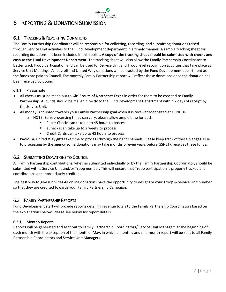

# <span id="page-7-0"></span>6 REPORTING & DONATION SUBMISSION

# <span id="page-7-1"></span>6.1 TRACKING & REPORTING DONATIONS

The Family Partnership Coordinator will be responsible for collecting, recording, and submitting donations raised through Service Unit activities to the Fund Development department in a timely manner. A sample tracking sheet for recording donations has been included in this toolkit. **A copy of the tracking sheet should be submitted with checks and cash to the Fund Development Department.** The tracking sheet will also allow the Family Partnership Coordinator to better track Troop participation and can be used for Service Unit and Troop level recognition activities that take place at Service Unit Meetings. All payroll and United Way donations will be tracked by the Fund Development department as the funds are paid to Council. The monthly Family Partnership report will reflect these donations once the donation has been received by Council.

# <span id="page-7-2"></span>6.1.1 Please note

- All checks must be made out to **Girl Scouts of Northeast Texas** in order for them to be credited to Family Partnership. All funds should be mailed directly to the Fund Development Department within 7 days of receipt by the Service Unit.
- All money is counted towards your Family Partnership goal when it is received/deposited at GSNETX.
	- o NOTE: Bank processing times can vary, please allow ample time for each:
		- Paper Checks can take up to 48 hours to process
		- eChecks can take up to 2 weeks to process
		- Credit Cards can take up to 48 hours to process
- Payroll & United Way gifts take time to process through the right channels. Please keep track of these pledges. Due to processing by the agency some donations may take months or even years before GSNETX receives these funds..

# <span id="page-7-3"></span>6.2 SUBMITTING DONATIONS TO COUNCIL

All Family Partnership contributions, whether submitted individually or by the Family Partnership Coordinator, should be submitted with a Service Unit and/or Troop number. This will ensure that Troop participation is properly tracked and contributions are appropriately credited.

The best way to give is online! All online donations have the opportunity to designate your Troop & Service Unit number so that they are credited towards your Family Partnership Campaign.

# <span id="page-7-4"></span>6.3 FAMILY PARTNERSHIP REPORTS

Fund Development staff will provide reports detailing revenue totals to the Family Partnership Coordinators based on the explanations below. Please see below for report details.

# <span id="page-7-5"></span>6.3.1 Monthly Reports

Reports will be generated and sent out to Family Partnership Coordinators/ Service Unit Managers at the beginning of each month with the exception of the month of May, in which a monthly and mid-month report will be sent to all Family Partnership Coordinators and Service Unit Managers.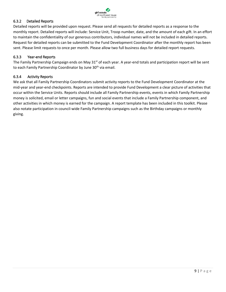

# <span id="page-8-0"></span>6.3.2 Detailed Reports

Detailed reports will be provided upon request. Please send all requests for detailed reports as a response to the monthly report. Detailed reports will include: Service Unit, Troop number, date, and the amount of each gift. In an effort to maintain the confidentiality of our generous contributors, individual names will not be included in detailed reports. Request for detailed reports can be submitted to the Fund Development Coordinator after the monthly report has been sent. Please limit requests to once per month. Please allow two full business days for detailed report requests.

#### <span id="page-8-1"></span>6.3.3 Year-end Reports

The Family Partnership Campaign ends on May 31<sup>st</sup> of each year. A year-end totals and participation report will be sent to each Family Partnership Coordinator by June 30<sup>th</sup> via email.

#### <span id="page-8-2"></span>6.3.4 Activity Reports

We ask that all Family Partnership Coordinators submit activity reports to the Fund Development Coordinator at the mid-year and year-end checkpoints. Reports are intended to provide Fund Development a clear picture of activities that occur within the Service Units. Reports should include all Family Partnership events, events in which Family Partnership money is solicited, email or letter campaigns, fun and social events that include a Family Partnership component, and other activities in which money is earned for the campaign. A report template has been included in this toolkit. Please also notate participation in council-wide Family Partnership campaigns such as the Birthday campaigns or monthly giving.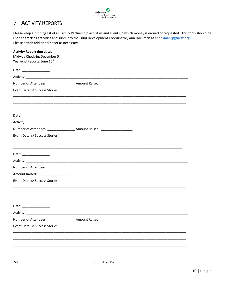

#### <span id="page-9-0"></span>**ACTIVITY REPORTS**  $\overline{7}$

Please keep a running list of all Family Partnership activities and events in which money is earned or requested. This form should be used to track all activities and submit to the Fund Development Coordinator, Ann Hoekman at ahoekman@gsnetx.org Please attach additional sheet as necessary.

| <b>Activity Report due dates</b><br>Midway Check-in: December 5th<br>Year-end Reports: June 15th |                                                                                                                       |
|--------------------------------------------------------------------------------------------------|-----------------------------------------------------------------------------------------------------------------------|
| Date: __________________                                                                         |                                                                                                                       |
|                                                                                                  |                                                                                                                       |
|                                                                                                  | Number of Attendees: ______________________ Amount Raised: _____________________                                      |
| <b>Event Details/ Success Stories:</b>                                                           |                                                                                                                       |
|                                                                                                  |                                                                                                                       |
| Date: _________________                                                                          |                                                                                                                       |
|                                                                                                  |                                                                                                                       |
|                                                                                                  | Number of Attendees: ____________________ Amount Raised: _______________________                                      |
| Event Details/ Success Stories:                                                                  |                                                                                                                       |
| Date: _________________                                                                          |                                                                                                                       |
|                                                                                                  |                                                                                                                       |
| Number of Attendees: _______________                                                             |                                                                                                                       |
| Amount Raised: ___________________                                                               |                                                                                                                       |
| <b>Event Details/ Success Stories:</b>                                                           |                                                                                                                       |
|                                                                                                  |                                                                                                                       |
| Date: _________________                                                                          |                                                                                                                       |
| Activity:                                                                                        |                                                                                                                       |
|                                                                                                  | Number of Attendees: ____________________ Amount Raised: _______________________                                      |
| Event Details/ Success Stories:                                                                  |                                                                                                                       |
|                                                                                                  | <u> 1989 - Johann Stoff, deutscher Stoff, der Stoff, der Stoff, der Stoff, der Stoff, der Stoff, der Stoff, der S</u> |
|                                                                                                  |                                                                                                                       |
| SU:                                                                                              |                                                                                                                       |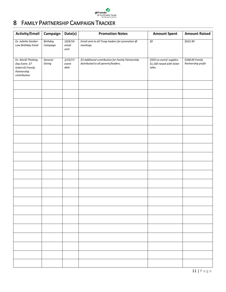

# <span id="page-10-0"></span>8 FAMILY PARTNERSHIP CAMPAIGN TRACKER

| <b>Activity/Email</b>                                                                    | Campaign             | Date(s)                     | <b>Promotion Notes</b>                                                                    | <b>Amount Spent</b>                                               | <b>Amount Raised</b>                  |
|------------------------------------------------------------------------------------------|----------------------|-----------------------------|-------------------------------------------------------------------------------------------|-------------------------------------------------------------------|---------------------------------------|
| Ex. Juliette Gordon<br>Low Birthday Email                                                | Birthday<br>Campaign | 10/6/16<br>email<br>sent    | Email sent to all Troop leaders for promotion @<br>meetings                               | $\overline{50}$                                                   | \$632.40                              |
| Ex. World Thinking<br>Day Event. \$7<br>ticket+\$3 Family<br>Partnership<br>contribution | General<br>Giving    | $2/22/17-$<br>event<br>date | \$3 Additional contribution for Family Partnership<br>distributed to all parents/leaders. | \$320 on event/ supplies.<br>\$1,160 raised with ticket<br>sales. | \$348.00 Family<br>Partnership profit |
|                                                                                          |                      |                             |                                                                                           |                                                                   |                                       |
|                                                                                          |                      |                             |                                                                                           |                                                                   |                                       |
|                                                                                          |                      |                             |                                                                                           |                                                                   |                                       |
|                                                                                          |                      |                             |                                                                                           |                                                                   |                                       |
|                                                                                          |                      |                             |                                                                                           |                                                                   |                                       |
|                                                                                          |                      |                             |                                                                                           |                                                                   |                                       |
|                                                                                          |                      |                             |                                                                                           |                                                                   |                                       |
|                                                                                          |                      |                             |                                                                                           |                                                                   |                                       |
|                                                                                          |                      |                             |                                                                                           |                                                                   |                                       |
|                                                                                          |                      |                             |                                                                                           |                                                                   |                                       |
|                                                                                          |                      |                             |                                                                                           |                                                                   |                                       |
|                                                                                          |                      |                             |                                                                                           |                                                                   |                                       |
|                                                                                          |                      |                             |                                                                                           |                                                                   |                                       |
|                                                                                          |                      |                             |                                                                                           |                                                                   |                                       |
|                                                                                          |                      |                             |                                                                                           |                                                                   |                                       |
|                                                                                          |                      |                             |                                                                                           |                                                                   |                                       |
|                                                                                          |                      |                             |                                                                                           |                                                                   |                                       |
|                                                                                          |                      |                             |                                                                                           |                                                                   |                                       |
|                                                                                          |                      |                             |                                                                                           |                                                                   |                                       |
|                                                                                          |                      |                             |                                                                                           |                                                                   |                                       |
|                                                                                          |                      |                             |                                                                                           |                                                                   |                                       |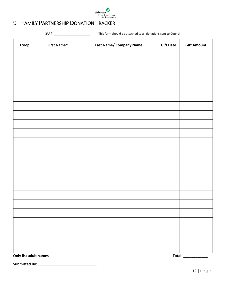

# <span id="page-11-0"></span>9 FAMILY PARTNERSHIP DONATION TRACKER

SU # \_\_\_\_\_\_\_\_\_\_\_\_\_\_\_\_\_\_ This form should be attached to all donations sent to Council

| <b>Troop</b> | <b>First Name*</b> | Last Name/ Company Name | <b>Gift Date</b> | <b>Gift Amount</b> |
|--------------|--------------------|-------------------------|------------------|--------------------|
|              |                    |                         |                  |                    |
|              |                    |                         |                  |                    |
|              |                    |                         |                  |                    |
|              |                    |                         |                  |                    |
|              |                    |                         |                  |                    |
|              |                    |                         |                  |                    |
|              |                    |                         |                  |                    |
|              |                    |                         |                  |                    |
|              |                    |                         |                  |                    |
|              |                    |                         |                  |                    |
|              |                    |                         |                  |                    |
|              |                    |                         |                  |                    |
|              |                    |                         |                  |                    |
|              |                    |                         |                  |                    |
|              |                    |                         |                  |                    |
|              |                    |                         |                  |                    |
|              |                    |                         |                  |                    |
|              |                    |                         |                  |                    |
|              |                    |                         |                  |                    |
|              |                    |                         |                  |                    |
|              |                    |                         |                  |                    |
|              |                    |                         |                  |                    |
|              |                    |                         |                  |                    |

**Only list adult names Total: \_\_\_\_\_\_\_\_\_\_\_\_** 

**Submitted By: \_\_\_\_\_\_\_\_\_\_\_\_\_\_\_\_\_\_\_\_\_\_\_\_\_\_\_\_\_**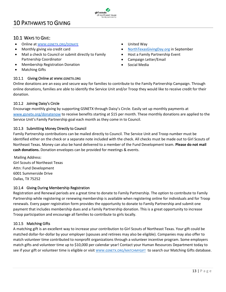# <span id="page-12-0"></span>10 PATHWAYS TO GIVING

# <span id="page-12-1"></span>10.1 WAYS TO GIVE:

- Online at WWW.GSNETX.ORG/[DONATE](http://www.gsnetx.org/donate)
- Monthly giving via credit card
- Mail a check to Council or submit directly to Family Partnership Coordinator
- Membership Registration Donation
- <span id="page-12-2"></span>• Matching Gifts

# 10.1.1 Giving Online at WWW.GSNETX.ORG

- United Way
- [NorthTexasGivingDay.org](https://www.northtexasgivingday.org/#npo/girl-scouts-of-northeast-texas) in September
- Host a Family Partnership Event
- Campaign Letter/Email
- Social Media

Online donations are an easy and secure way for families to contribute to the Family Partnership Campaign. Through online donations, families are able to identify the Service Unit and/or Troop they would like to receive credit for their donation.

girl scouts of northeast texas

# <span id="page-12-3"></span>10.1.2 Joining Daisy's Circle

Encourage monthly giving by supporting GSNETX through Daisy's Circle. Easily set up monthly payments at [www.gsnetx.org/donatenow](http://www.gsnetx.org/donatenow) to receive benefits starting at \$15 per month. These monthly donations are applied to the Service Unit's Family Partnership goal each month as they come in to Council.

# <span id="page-12-4"></span>10.1.3 Submitting Money Directly to Council

Family Partnership contributions can be mailed directly to Council. The Service Unit and Troop number must be identified either on the check or a separate note included with the check. All checks must be made out to Girl Scouts of Northeast Texas. Money can also be hand delivered to a member of the Fund Development team. **Please do not mail cash donations.** Donation envelopes can be provided for meetings & events.

Mailing Address: Girl Scouts of Northeast Texas Attn: Fund Development 6001 Summerside Drive Dallas, TX 75252

# <span id="page-12-5"></span>10.1.4 Giving During Membership Registration

Registration and Renewal periods are a great time to donate to Family Partnership. The option to contribute to Family Partnership while registering or renewing membership is available when registering online for individuals and for Troop renewals. Every paper registration form provides the opportunity to donate to Family Partnership and submit one payment that includes membership dues and a Family Partnership donation. This is a great opportunity to increase Troop participation and encourage all families to contribute to girls locally.

# <span id="page-12-6"></span>10.1.5 Matching Gifts

A matching gift is an excellent way to increase your contribution to Girl Scouts of Northeast Texas. Your gift could be matched dollar-for-dollar by your employer (spouses and retirees may also be eligible). Companies may also offer to match volunteer time contributed to nonprofit organizations through a volunteer incentive program. Some employers match gifts and volunteer time up to \$10,000 per calendar year! Contact your Human Resources Department today to see if your gift or volunteer time is eligible or visit WWW.GSNETX.ORG/[MATCHMYGIFT](http://www.gsnetx.org/matchmygift) [t](http://www1.matchinggifts.com/gsnetx/)o search our Matching Gifts database.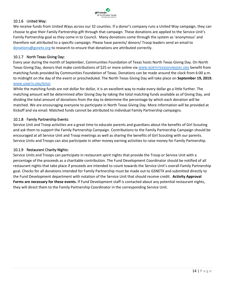

## <span id="page-13-0"></span>10.1.6 United Way:

We receive funds from United Ways across our 32 counties. If a donor's company runs a United Way campaign, they can choose to give their Family Partnership gift through that campaign. These donations are applied to the Service Unit's Family Partnership goal as they come in to Council. Many donations come through the system as 'anonymous' and therefore not attributed to a specific campaign. Please have parents/ donors/ Troop leaders send an email to [donations@gsnetx.org](mailto:donations@gsnetx.org) to research to ensure that donations are attributed correctly.

#### <span id="page-13-1"></span>10.1.7 North Texas Giving Day:

Every year during the month of September, Communities Foundation of Texas hosts North Texas Giving Day. On North Texas Giving Day, donors that make contributions of \$25 or more online via WWW.[NORTHTEXASGIVINGDAY](https://www.northtexasgivingday.org/#npo/girl-scouts-of-northeast-texas).OR[G](http://www.donorbridgetx.org/) benefit from matching funds provided by Communities Foundation of Texas. Donations can be made around the clock from 6:00 a.m. to midnight on the day of the event or prescheduled. The North Texas Giving Day will take place on **September 19, 2019.** WWW.[GSNETX](http://www.gsnetx.org/ntgd).ORG/NTGD

While the matching funds are not dollar for dollar, it is an excellent way to make every dollar go a little further. The matching amount will be determined after Giving Day by taking the total matching funds available as of Giving Day, and dividing the total amount of donations from the day to determine the percentage by which each donation will be matched. We are encouraging everyone to participate in North Texas Giving Day. More information will be provided at Kickoff and via email. Matched funds cannot be attributed to individual Family Partnership campaigns.

#### <span id="page-13-2"></span>10.1.8 Family Partnership Events:

Service Unit and Troop activities are a great time to educate parents and guardians about the benefits of Girl Scouting and ask them to support the Family Partnership Campaign. Contributions to the Family Partnership Campaign should be encouraged at all Service Unit and Troop meetings as well as sharing the benefits of Girl Scouting with our parents. Service Units and Troops can also participate in other money earning activities to raise money for Family Partnership.

#### <span id="page-13-3"></span>10.1.9 Restaurant Charity Nights:

Service Units and Troops can participate in restaurant spirit nights that provide the Troop or Service Unit with a percentage of the proceeds as a charitable contribution. The Fund Development Coordinator should be notified of all restaurant nights that take place if proceeds are intended to count towards the Service Unit's overall Family Partnership goal. Checks for all donations intended for Family Partnership must be made out to GSNETX and submitted directly to the Fund Development department with notation of the Service Unit that should receive credit. **Activity Approval Forms are necessary for these events.** If Fund Development staff is contacted about any potential restaurant nights, they will direct them to the Family Partnership Coordinator in the corresponding Service Unit.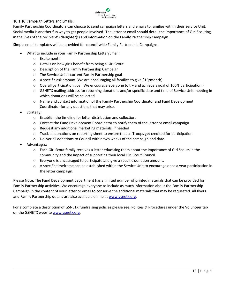

## <span id="page-14-0"></span>10.1.10 Campaign Letters and Emails:

Family Partnership Coordinators can choose to send campaign letters and emails to families within their Service Unit. Social media is another fun way to get people involved! The letter or email should detail the importance of Girl Scouting in the lives of the recipient's daughter(s) and information on the Family Partnership Campaign.

Simple email templates will be provided for council-wide Family Partnership Campaigns.

- What to include in your Family Partnership Letter/Email:
	- o Excitement!
	- o Details on how girls benefit from being a Girl Scout
	- o Description of the Family Partnership Campaign
	- o The Service Unit's current Family Partnership goal
	- $\circ$  A specific ask amount (We are encouraging all families to give \$10/month)
	- $\circ$  Overall participation goal (We encourage everyone to try and achieve a goal of 100% participation.)
	- o GSNETX mailing address for returning donations and/or specific date and time of Service Unit meeting in which donations will be collected
	- o Name and contact information of the Family Partnership Coordinator and Fund Development Coordinator for any questions that may arise.
- Strategy:
	- o Establish the timeline for letter distribution and collection.
	- $\circ$  Contact the Fund Development Coordinator to notify them of the letter or email campaign.
	- o Request any additional marketing materials, if needed
	- o Track all donations on reporting sheet to ensure that all Troops get credited for participation.
	- o Deliver all donations to Council within two weeks of the campaign end date.
- Advantages:
	- o Each Girl Scout family receives a letter educating them about the importance of Girl Scouts in the community and the impact of supporting their local Girl Scout Council.
	- $\circ$  Everyone is encouraged to participate and give a specific donation amount.
	- o A specific timeframe can be established within the Service Unit to encourage once a year participation in the letter campaign.

Please Note: The Fund Development department has a limited number of printed materials that can be provided for Family Partnership activities. We encourage everyone to include as much information about the Family Partnership Campaign in the content of your letter or email to conserve the additional materials that may be requested. All flyers and Family Partnership details are also available online at [www.gsnetx.org.](http://www.gsnetx.org/)

For a complete a description of GSNETX fundraising policies please see, Policies & Procedures under the Volunteer tab on the GSNETX websit[e](http://www.gsnetx.org/) [www.gsnetx.org.](http://www.gsnetx.org/)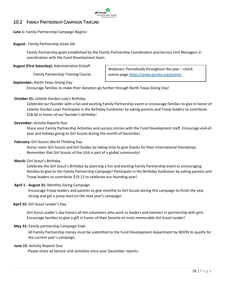

# <span id="page-15-0"></span>10.2 FAMILY PARTNERSHIP CAMPAIGN TIMELINE

**June 1:** Family Partnership Campaign Begins!

#### **August:** Family Partnership Goals Set

Family Partnership goals established by the Family Partnership Coordinators and Service Unit Managers in coordination with the Fund Development team.

#### **August (First Saturday):** Administrative Kickoff

Family Partnership Training Course

Webinars: Periodically throughout the year – check events pag[e https://www.gsnetx.org/events](https://www.gsnetx.org/events)

#### **September:** North Texas Giving Day

Encourage families to make their donation go further through North Texas Giving Day!

## **October 31:** Juliette Gordon Low's Birthday

Celebrate our founder with a fun and exciting Family Partnership event or encourage families to give in honor of Juliette Gordon Low! Participate in the Birthday Fundraiser by asking parents and Troop leaders to contribute \$18.60 in honor of our founder's birthday!

#### **December:** Activity Reports Due

Share your Family Partnership Activities and success stories with the Fund Development staff. Encourage end-ofyear and holiday giving to Girl Scouts during the month of December.

#### **February:** Girl Scouts World Thinking Day

Honor sister Girl Scouts and Girl Guides by taking time to give thanks for their international friendships. Remember that Girl Scouts of the USA is part of a global community!

#### **March:** Girl Scout's Birthday

Celebrate the Girl Scout's Birthday by planning a fun and exciting Family Partnership event or encouraging families to give to the Family Partnership Campaign! Participate in the Birthday fundraiser by asking parents and Troop leaders to contribute \$19.12 to celebrate our founding year!

#### **April 1 - August 31:** Monthly Giving Campaign

Encourage Troop leaders and parents to give monthly to Girl Scouts during this campaign to finish the year strong and get a jump-start on the next year's campaign!

#### **April 22:** Girl Scout Leader's Day

Girl Scout Leader's day honors all the volunteers who work as leaders and mentors in partnership with girls. Encourage families to give a gift in honor of their favorite or most memorable Girl Scout Leader!

#### **May 31:** Family partnership Campaign Ends

All Family Partnership money must be submitted to the Fund Development department by NOON to qualify for the current year's campaign.

#### **June 15:** Activity Reports Due

Please share all Service Unit activities since your December reports.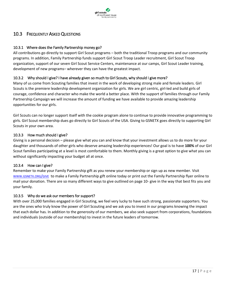

# <span id="page-16-0"></span>10.3 FREQUENTLY ASKED QUESTIONS

## <span id="page-16-1"></span>10.3.1 Where does the Family Partnership money go?

All contributions go directly to support Girl Scout programs – both the traditional Troop programs and our community programs. In addition, Family Partnership funds support Girl Scout Troop Leader recruitment, Girl Scout Troop organization, support of our seven Girl Scout Service Centers, maintenance at our camps, Girl Scout Leader training, development of new programs– wherever they can have the greatest impact.

## <span id="page-16-2"></span>10.3.2 Why should I give? I have already given so much to Girl Scouts, why should I give more?

Many of us come from Scouting families that invest in the work of developing strong male and female leaders. Girl Scouts is the premiere leadership development organization for girls. We are girl centric, girl-led and build girls of courage, confidence and character who make the world a better place. With the support of families through our Family Partnership Campaign we will increase the amount of funding we have available to provide amazing leadership opportunities for our girls.

Girl Scouts can no longer support itself with the cookie program alone to continue to provide innovative programming to girls. Girl Scout membership dues go directly to Girl Scouts of the USA. Giving to GSNETX goes directly to supporting Girl Scouts in your own area.

## <span id="page-16-3"></span>10.3.3 How much should I give?

Giving is a personal decision – please give what you can and know that your investment allows us to do more for your daughter and thousands of other girls who deserve amazing leadership experiences! Our goal is to have **100%** of our Girl Scout families participating at a level is most comfortable to them. Monthly giving is a great option to give what you can without significantly impacting your budget all at once.

#### <span id="page-16-4"></span>10.3.4 How can I give?

Remember to make your Family Partnership gift as you renew your membership or sign up as new member. Visit WWW.[GSNETX](http://www.gsnetx.org/).ORG/GIV[E](http://www.gsnetx.org/) to make a Family Partnership gift online today or print out the Family Partnership flyer online to mail your donation. There are so many different ways to give outlined on page 10- give in the way that best fits you and your family.

#### <span id="page-16-5"></span>10.3.5 Why do we ask our members for support?

With over 25,000 families engaged in Girl Scouting, we feel very lucky to have such strong, passionate supporters. You are the ones who truly know the power of Girl Scouting and we ask you to invest in our programs knowing the impact that each dollar has. In addition to the generosity of our members, we also seek support from corporations, foundations and individuals (outside of our membership) to invest in the future leaders of tomorrow.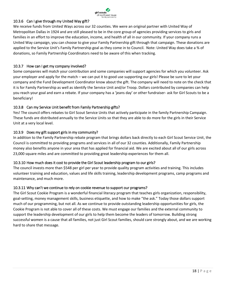

# <span id="page-17-0"></span>10.3.6 Can I give through my United Way gift?

We receive funds from United Ways across our 32 counties. We were an original partner with United Way of Metropolitan Dallas in 1924 and are still pleased to be in the core group of agencies providing services to girls and families in an effort to improve the education, income, and health of all in our community. If your company runs a United Way campaign, you can choose to give your Family Partnership gift through that campaign. These donations are applied to the Service Unit's Family Partnership goal as they come in to Council. Note: United Way does take a % of donations, so Family Partnership Coordinators need to be aware of this when tracking.

## <span id="page-17-1"></span>10.3.7 How can I get my company involved?

Some companies will match your contribution and some companies will support agencies for which you volunteer. Ask your employer and apply for the match – we can put it to good use supporting our girls! Please be sure to let your company and the Fund Development Coordinator know about the gift. The company will need to note on the check that it is for Family Partnership as well as identify the Service Unit and/or Troop. Dollars contributed by companies can help you reach your goal and earn a rebate. If your company has a 'jeans day' or other fundraiser- ask for Girl Scouts to be a beneficiary!

# <span id="page-17-2"></span>10.3.8 Can my Service Unit benefit from Family Partnership gifts?

Yes! The council offers rebates to Girl Scout Service Units that actively participate in the family Partnership Campaign. These funds are distributed annually to the Service Units so that they are able to do more for the girls in their Service Unit at a very local level.

## <span id="page-17-3"></span>10.3.9 Does my gift support girls in my community?

In addition to the Family Partnership rebate program that brings dollars back directly to each Girl Scout Service Unit, the Council is committed to providing programs and services in all of our 32 counties. Additionally, Family Partnership money also benefits anyone in your area that has applied for financial aid. We are excited about all of our girls across 23,000 square miles and are committed to providing great leadership experiences for them all.

#### <span id="page-17-4"></span>10.3.10 How much does it cost to provide the Girl Scout leadership program to our girls?

The council invests more than \$548 per girl per year to provide quality program activities and training. This includes volunteer training and education, values and life skills training, leadership development programs, camp programs and maintenance, and much more.

#### <span id="page-17-5"></span>10.3.11 Why can't we continue to rely on cookie revenue to support our programs?

The Girl Scout Cookie Program is a wonderful financial literacy program that teaches girls organization, responsibility, goal-setting, money management skills, business etiquette, and how to make "the ask." Today those dollars support much of our programming, but not all. As we continue to provide outstanding leadership opportunities for girls, the Cookie Program is not able to cover all of these costs. We must engage our families and the external community to support the leadership development of our girls to help them become the leaders of tomorrow. Building strong successful women is a cause that all families, not just Girl Scout families, should care strongly about, and we are working hard to share that message.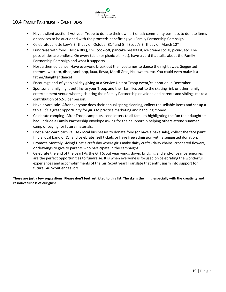<span id="page-18-0"></span>

- Have a silent auction! Ask your Troop to donate their own art or ask community business to donate items or services to be auctioned with the proceeds benefitting you Family Partnership Campaign.
- Celebrate Juliette Low's Birthday on October 31<sup>st</sup> and Girl Scout's Birthday on March 12<sup>th</sup>!

girl scouts of northeast texas<br>family partnership

- Fundraise with food! Host a BBQ, chili cook-off, pancake breakfast, ice cream social, picnic, etc. The possibilities are endless! On every table (or picnic blanket), have a card that talks about the Family Partnership Campaign and what it supports.
- Host a themed dance! Have everyone break out their costumes to dance the night away. Suggested themes: western, disco, sock hop, luau, fiesta, Mardi Gras, Halloween, etc. You could even make it a father/daughter dance!
- Encourage end-of-year/holiday giving at a Service Unit or Troop event/celebration in December.
- Sponsor a family night out! Invite your Troop and their families out to the skating rink or other family entertainment venue where girls bring their Family Partnership envelope and parents and siblings make a contribution of \$2-5 per person.
- Have a yard sale! After everyone does their annual spring cleaning, collect the sellable items and set up a table. It's a great opportunity for girls to practice marketing and handling money.
- Celebrate camping! After Troop campouts, send letters to all families highlighting the fun their daughters had. Include a Family Partnership envelope asking for their support in helping others attend summer camp or paying for future materials.
- Host a backyard carnival! Ask local businesses to donate food (or have a bake sale), collect the face paint, find a local band or DJ, and celebrate! Sell tickets or have free admission with a suggested donation.
- Promote Monthly Giving! Host a craft day where girls make daisy crafts- daisy chains, crocheted flowers, or drawings to give to parents who participate in the campaign!
- Celebrate the end of the year! As the Girl Scout year winds down, bridging and end-of year ceremonies are the perfect opportunities to fundraise. It is when everyone is focused on celebrating the wonderful experiences and accomplishments of the Girl Scout year! Translate that enthusiasm into support for future Girl Scout endeavors.

**These are just a few suggestions. Please don't feel restricted to this list. The sky is the limit, especially with the creativity and resourcefulness of our girls!**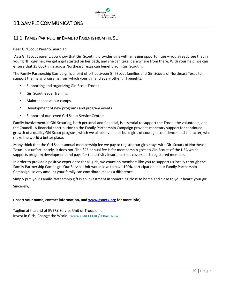

# <span id="page-19-0"></span>11 SAMPLE COMMUNICATIONS

# <span id="page-19-1"></span>11.1 FAMILY PARTNERSHIP EMAIL TO PARENTS FROM THE SU

Dear Girl Scout Parent/Guardian,

As a Girl Scout parent, you know that Girl Scouting provides girls with amazing opportunities – you already see that in your girl! Together, we get a girl started on her path, and she can take it anywhere from there. With your help, we can ensure that 25,000+ girls across Northeast Texas can benefit from Girl Scouting.

The Family Partnership Campaign is a joint effort between Girl Scout families and Girl Scouts of Northeast Texas to support the many programs from which your girl and every other girl benefits:

- Supporting and organizing Girl Scout Troops
- Girl Scout leader training
- Maintenance at our camps
- Development of new programs and program events
- Support of our seven Girl Scout Service Centers

Family involvement in Girl Scouting, both personal and financial, is essential to support the Troop, the volunteers, and the Council. A financial contribution to the Family Partnership Campaign provides monetary support for continued growth of a quality Girl Scout program, which we all believe helps build girls of courage, confidence, and character, who make the world a better place.

Many think that the Girl Scout annual membership fee we pay to register our girls stays with Girl Scouts of Northeast Texas, but unfortunately, it does not. The \$25 annual fee is for membership goes to Girl Scouts of the USA which supports program development and pays for the activity insurance that covers each registered member.

In order to provide a positive experience for all girls, we count on members like you to support us locally through the Family Partnership Campaign. Our Service Unit would love to have **100%** participation in our Family Partnership Campaign, so any amount your family can contribute makes a difference.

Simply put, your Family Partnership gift is an investment in something close to home and close to your heart: your girl. Sincerely,

#### **(Insert your name, contact information, and [www.gsnetx.org](http://www.gsnetx.org/) for more info)**

Tagline at the end of EVERY Service Unit or Troop email: Invest in Girls, Change the World - WWW.GSNETX.ORG/[DONATENOW](http://www.gsnetx.org/donatenow)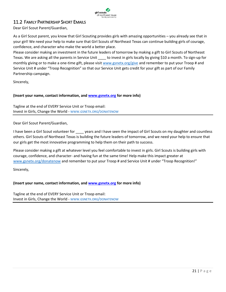

# <span id="page-20-0"></span>11.2 FAMILY PARTNERSHIP SHORT EMAILS

Dear Girl Scout Parent/Guardian,

As a Girl Scout parent, you know that Girl Scouting provides girls with amazing opportunities – you already see that in your girl! We need your help to make sure that Girl Scouts of Northeast Texas can continue building girls of courage, confidence, and character who make the world a better place.

Please consider making an investment in the future leaders of tomorrow by making a gift to Girl Scouts of Northeast Texas. We are asking all the parents in Service Unit \_\_\_\_ to invest in girls locally by giving \$10 a month. To sign-up for monthly giving or to make a one-time gift, please visi[t www.gsnetx.org/give](http://www.gsnetx.org/give) and remember to put your Troop # and Service Unit # under "Troop Recognition" so that our Service Unit gets credit for your gift as part of our Family Partnership campaign.

Sincerely,

## **(Insert your name, contact information, and [www.gsnetx.org](http://www.gsnetx.org/) for more info)**

Tagline at the end of EVERY Service Unit or Troop email: Invest in Girls, Change the World - WWW.GSNETX.ORG/[DONATENOW](http://www.gsnetx.org/donatenow)

Dear Girl Scout Parent/Guardian,

I have been a Girl Scout volunteer for \_\_\_\_\_ years and I have seen the impact of Girl Scouts on my daughter and countless others. Girl Scouts of Northeast Texas is building the future leaders of tomorrow, and we need your help to ensure that our girls get the most innovative programming to help them on their path to success.

Please consider making a gift at whatever level you feel comfortable to invest in girls. Girl Scouts is building girls with courage, confidence, and character- and having fun at the same time! Help make this impact greater at [www.gsnetx.org/donatenow](http://www.gsnetx.org/donatenow) and remember to put your Troop # and Service Unit # under "Troop Recognition!"

Sincerely,

#### **(Insert your name, contact information, and [www.gsnetx.org](http://www.gsnetx.org/) for more info)**

Tagline at the end of EVERY Service Unit or Troop email: Invest in Girls, Change the World - WWW.GSNETX.ORG/[DONATENOW](http://www.gsnetx.org/donatenow)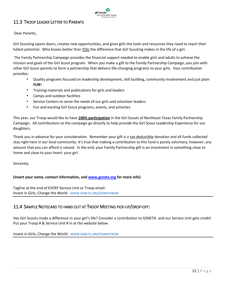

# <span id="page-21-0"></span>11.3 TROOP LEADER LETTER TO PARENTS

Dear Parents,

Girl Scouting opens doors, creates new opportunities, and gives girls the tools and resources they need to reach their fullest potential. Who knows better than YOU the difference that Girl Scouting makes in the life of a girl.

The Family Partnership Campaign provides the financial support needed to enable girls and adults to achieve the mission and goals of the Girl Scout program. When you make a gift to the Family Partnership Campaign, you join with other Girl Scout parents to form a partnership that delivers life-changing programs to your girls. Your contribution provides:

- Quality programs focused on leadership development, skill building, community involvement and just plain **FUN**!
- Training materials and publications for girls and leaders
- Camps and outdoor facilities
- Service Centers to serve the needs of our girls and volunteer leaders
- Fun and exciting Girl Scout programs, events, and activities

This year, our Troop would like to have **100% participation** in the Girl Scouts of Northeast Texas Family Partnership Campaign. All contributions to the campaign go directly to help provide the Girl Scout Leadership Experience for our daughters.

Thank you in advance for your consideration. Remember your gift is a tax-deductible donation and all funds collected stay right here in our local community. It's true that making a contribution to this fund is purely voluntary; however, any amount that you can afford is valued. In the end, your Family Partnership gift is an investment in something close to home and close to your heart: your girl.

Sincerely,

# **(Insert your name, contact information, and [www.gsnetx.org](http://www.gsnetx.org/) for more info)**

Tagline at the end of EVERY Service Unit or Troop email: Invest in Girls, Change the World - WWW.GSNETX.ORG/[DONATENOW](http://www.gsnetx.org/donatenow)

# <span id="page-21-1"></span>11.4 SAMPLE NOTECARD TO HAND OUT AT TROOP MEETING PICK-UP/DROP-OFF:

Has Girl Scouts made a difference in your girl's life? Consider a contribution to GSNETX- and our Service Unit gets credit! Put your Troop # & Service Unit # in at the website below.

Invest in Girls, Change the World - WWW.GSNETX.ORG/[DONATENOW](http://www.gsnetx.org/donatenow)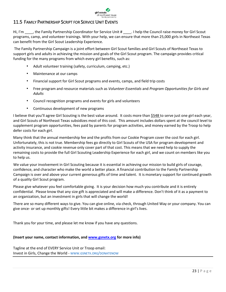

# <span id="page-22-0"></span>11.5 FAMILY PARTNERSHIP SCRIPT FOR SERVICE UNIT EVENTS

Hi, I'm \_\_\_\_, the Family Partnership Coordinator for Service Unit # \_\_\_\_. I help the Council raise money for Girl Scout programs, camp, and volunteer trainings. With your help, we can ensure that more than 25,000 girls in Northeast Texas can benefit from the Girl Scout Leadership Experience.

The Family Partnership Campaign is a joint effort between Girl Scout families and Girl Scouts of Northeast Texas to support girls and adults in achieving the mission and goals of the Girl Scout program. The campaign provides critical funding for the many programs from which every girl benefits, such as:

- Adult volunteer training (safety, curriculum, camping, etc.)
- Maintenance at our camps
- Financial support for Girl Scout programs and events, camps, and field trip costs
- Free program and resource materials such as *Volunteer Essentials* and *Program Opportunities for Girls and Adults*
- Council recognition programs and events for girls and volunteers
- Continuous development of new programs

I believe that you'll agree Girl Scouting is the best value around. It costs more than \$548 to serve just one girl each year, and Girl Scouts of Northeast Texas subsidizes most of this cost. This amount includes dollars spent at the council level to supplement program opportunities, fees paid by parents for program activities, and money earned by the Troop to help defer costs for each girl.

Many think that the annual membership fee and the profits from our Cookie Program cover the cost for each girl. Unfortunately, this is not true. Membership fees go directly to Girl Scouts of the USA for program development and activity insurance, and cookie revenue only cover part of that cost. This means that we need help to supply the remaining costs to provide the full Girl Scouting Leadership Experience for each girl, and we count on members like you to help us.

We value your involvement in Girl Scouting because it is essential in achieving our mission to build girls of courage, confidence, and character who make the world a better place. A financial contribution to the Family Partnership Campaign is over and above your current generous gifts of time and talent. It is monetary support for continued growth of a quality Girl Scout program.

Please give whatever you feel comfortable giving. It is your decision how much you contribute and it is entirely confidential. Please know that any size gift is appreciated and will make a difference. Don't think of it as a payment to an organization, but an investment in girls that will change the world!

There are so many different ways to give. You can give online, via check, through United Way or your company. You can give once- or set up monthly gifts! Every little bit makes a difference in girl's lives.

Thank you for your time, and please let me know if you have any questions.

# **(Insert your name, contact information, and [www.gsnetx.org](http://www.gsnetx.org/) for more info)**

Tagline at the end of EVERY Service Unit or Troop email: Invest in Girls, Change the World - WWW.GSNETX.ORG/[DONATENOW](http://www.gsnetx.org/donatenow)